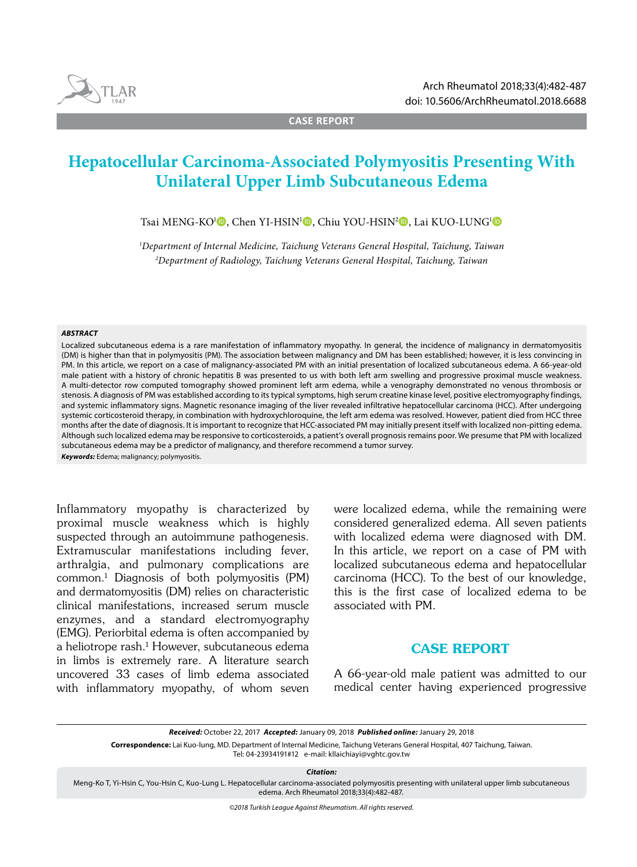

**CASE REPORT**

# **Hepatocellular Carcinoma-Associated Polymyositis Presenting With Unilateral Upper Limb Subcutaneous Edema**

Tsai MENG-KO<sup>1</sup>D, Chen YI-HSIN<sup>1</sup>D, Chiu YOU-HSIN<sup>2</sup>D, Lai KUO-LUNG<sup>1</sup>D

*1 Department of Internal Medicine, Taichung Veterans General Hospital, Taichung, Taiwan 2 Department of Radiology, Taichung Veterans General Hospital, Taichung, Taiwan*

#### *ABSTRACT*

Localized subcutaneous edema is a rare manifestation of inflammatory myopathy. In general, the incidence of malignancy in dermatomyositis (DM) is higher than that in polymyositis (PM). The association between malignancy and DM has been established; however, it is less convincing in PM. In this article, we report on a case of malignancy-associated PM with an initial presentation of localized subcutaneous edema. A 66-year-old male patient with a history of chronic hepatitis B was presented to us with both left arm swelling and progressive proximal muscle weakness. A multi-detector row computed tomography showed prominent left arm edema, while a venography demonstrated no venous thrombosis or stenosis. A diagnosis of PM was established according to its typical symptoms, high serum creatine kinase level, positive electromyography findings, and systemic inflammatory signs. Magnetic resonance imaging of the liver revealed infiltrative hepatocellular carcinoma (HCC). After undergoing systemic corticosteroid therapy, in combination with hydroxychloroquine, the left arm edema was resolved. However, patient died from HCC three months after the date of diagnosis. It is important to recognize that HCC-associated PM may initially present itself with localized non-pitting edema. Although such localized edema may be responsive to corticosteroids, a patient's overall prognosis remains poor. We presume that PM with localized subcutaneous edema may be a predictor of malignancy, and therefore recommend a tumor survey.

*Keywords:* Edema; malignancy; polymyositis.

Inflammatory myopathy is characterized by proximal muscle weakness which is highly suspected through an autoimmune pathogenesis. Extramuscular manifestations including fever, arthralgia, and pulmonary complications are common.1 Diagnosis of both polymyositis (PM) and dermatomyositis (DM) relies on characteristic clinical manifestations, increased serum muscle enzymes, and a standard electromyography (EMG). Periorbital edema is often accompanied by a heliotrope rash.<sup>1</sup> However, subcutaneous edema in limbs is extremely rare. A literature search uncovered 33 cases of limb edema associated with inflammatory myopathy, of whom seven were localized edema, while the remaining were considered generalized edema. All seven patients with localized edema were diagnosed with DM. In this article, we report on a case of PM with localized subcutaneous edema and hepatocellular carcinoma (HCC). To the best of our knowledge, this is the first case of localized edema to be associated with PM.

## CASE REPORT

A 66-year-old male patient was admitted to our medical center having experienced progressive

*Received:* October 22, 2017 *Accepted:* January 09, 2018 *Published online:* January 29, 2018

**Correspondence:** Lai Kuo-lung, MD. Department of Internal Medicine, Taichung Veterans General Hospital, 407 Taichung, Taiwan.

Tel: 04-23934191#12 e-mail: kllaichiayi@vghtc.gov.tw

*Citation:*

Meng-Ko T, Yi-Hsin C, You-Hsin C, Kuo-Lung L. Hepatocellular carcinoma-associated polymyositis presenting with unilateral upper limb subcutaneous edema. Arch Rheumatol 2018;33(4):482-487.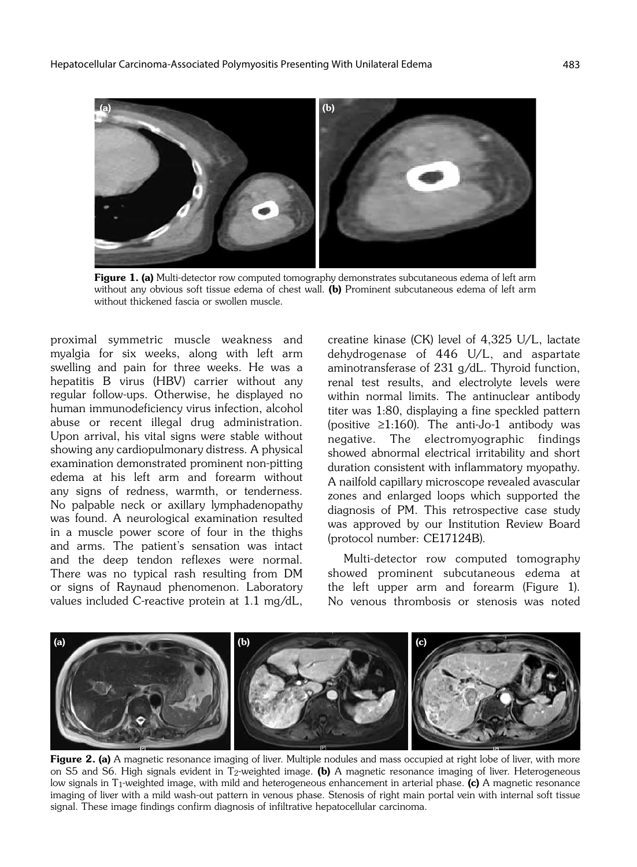

Figure 1. (a) Multi-detector row computed tomography demonstrates subcutaneous edema of left arm without any obvious soft tissue edema of chest wall. (b) Prominent subcutaneous edema of left arm without thickened fascia or swollen muscle.

proximal symmetric muscle weakness and myalgia for six weeks, along with left arm swelling and pain for three weeks. He was a hepatitis B virus (HBV) carrier without any regular follow-ups. Otherwise, he displayed no human immunodeficiency virus infection, alcohol abuse or recent illegal drug administration. Upon arrival, his vital signs were stable without showing any cardiopulmonary distress. A physical examination demonstrated prominent non-pitting edema at his left arm and forearm without any signs of redness, warmth, or tenderness. No palpable neck or axillary lymphadenopathy was found. A neurological examination resulted in a muscle power score of four in the thighs and arms. The patient's sensation was intact and the deep tendon reflexes were normal. There was no typical rash resulting from DM or signs of Raynaud phenomenon. Laboratory values included C-reactive protein at 1.1 mg/dL, creatine kinase (CK) level of 4,325 U/L, lactate dehydrogenase of 446 U/L, and aspartate aminotransferase of 231 g/dL. Thyroid function, renal test results, and electrolyte levels were within normal limits. The antinuclear antibody titer was 1:80, displaying a fine speckled pattern (positive ≥1:160). The anti-Jo-1 antibody was negative. The electromyographic findings showed abnormal electrical irritability and short duration consistent with inflammatory myopathy. A nailfold capillary microscope revealed avascular zones and enlarged loops which supported the diagnosis of PM. This retrospective case study was approved by our Institution Review Board (protocol number: CE17124B).

Multi-detector row computed tomography showed prominent subcutaneous edema at the left upper arm and forearm (Figure 1). No venous thrombosis or stenosis was noted



Figure 2. (a) A magnetic resonance imaging of liver. Multiple nodules and mass occupied at right lobe of liver, with more on S5 and S6. High signals evident in T<sub>2</sub>-weighted image. **(b)** A magnetic resonance imaging of liver. Heterogeneous low signals in T<sub>1</sub>-weighted image, with mild and heterogeneous enhancement in arterial phase. (c) A magnetic resonance imaging of liver with a mild wash-out pattern in venous phase. Stenosis of right main portal vein with internal soft tissue signal. These image findings confirm diagnosis of infiltrative hepatocellular carcinoma.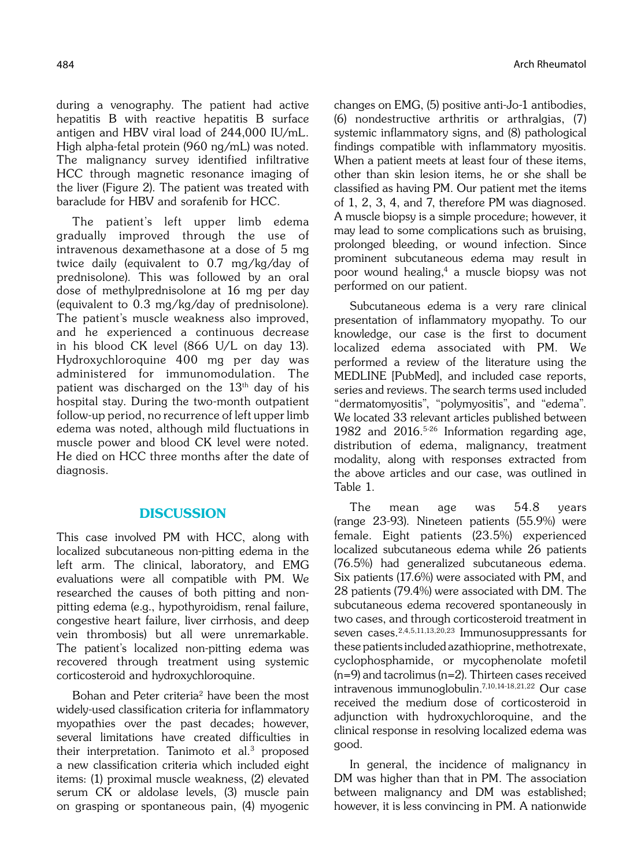during a venography. The patient had active hepatitis B with reactive hepatitis B surface antigen and HBV viral load of 244,000 IU/mL. High alpha-fetal protein (960 ng/mL) was noted. The malignancy survey identified infiltrative HCC through magnetic resonance imaging of the liver (Figure 2). The patient was treated with baraclude for HBV and sorafenib for HCC.

The patient's left upper limb edema gradually improved through the use of intravenous dexamethasone at a dose of 5 mg twice daily (equivalent to 0.7 mg/kg/day of prednisolone). This was followed by an oral dose of methylprednisolone at 16 mg per day (equivalent to 0.3 mg/kg/day of prednisolone). The patient's muscle weakness also improved, and he experienced a continuous decrease in his blood CK level (866 U/L on day 13). Hydroxychloroquine 400 mg per day was administered for immunomodulation. The patient was discharged on the  $13<sup>th</sup>$  day of his hospital stay. During the two-month outpatient follow-up period, no recurrence of left upper limb edema was noted, although mild fluctuations in muscle power and blood CK level were noted. He died on HCC three months after the date of diagnosis.

### **DISCUSSION**

This case involved PM with HCC, along with localized subcutaneous non-pitting edema in the left arm. The clinical, laboratory, and EMG evaluations were all compatible with PM. We researched the causes of both pitting and nonpitting edema (e.g., hypothyroidism, renal failure, congestive heart failure, liver cirrhosis, and deep vein thrombosis) but all were unremarkable. The patient's localized non-pitting edema was recovered through treatment using systemic corticosteroid and hydroxychloroquine.

Bohan and Peter criteria2 have been the most widely-used classification criteria for inflammatory myopathies over the past decades; however, several limitations have created difficulties in their interpretation. Tanimoto et al.3 proposed a new classification criteria which included eight items: (1) proximal muscle weakness, (2) elevated serum CK or aldolase levels, (3) muscle pain on grasping or spontaneous pain, (4) myogenic changes on EMG, (5) positive anti-Jo-1 antibodies, (6) nondestructive arthritis or arthralgias, (7) systemic inflammatory signs, and (8) pathological findings compatible with inflammatory myositis. When a patient meets at least four of these items, other than skin lesion items, he or she shall be classified as having PM. Our patient met the items of 1, 2, 3, 4, and 7, therefore PM was diagnosed. A muscle biopsy is a simple procedure; however, it may lead to some complications such as bruising, prolonged bleeding, or wound infection. Since prominent subcutaneous edema may result in poor wound healing,4 a muscle biopsy was not performed on our patient.

Subcutaneous edema is a very rare clinical presentation of inflammatory myopathy. To our knowledge, our case is the first to document localized edema associated with PM. We performed a review of the literature using the MEDLINE [PubMed], and included case reports, series and reviews. The search terms used included "dermatomyositis", "polymyositis", and "edema". We located 33 relevant articles published between 1982 and  $2016$ .<sup>5-26</sup> Information regarding age, distribution of edema, malignancy, treatment modality, along with responses extracted from the above articles and our case, was outlined in Table 1.

The mean age was 54.8 years (range 23-93). Nineteen patients (55.9%) were female. Eight patients (23.5%) experienced localized subcutaneous edema while 26 patients (76.5%) had generalized subcutaneous edema. Six patients (17.6%) were associated with PM, and 28 patients (79.4%) were associated with DM. The subcutaneous edema recovered spontaneously in two cases, and through corticosteroid treatment in seven cases.2,4,5,11,13,20,23 Immunosuppressants for these patients included azathioprine, methotrexate, cyclophosphamide, or mycophenolate mofetil (n=9) and tacrolimus (n=2). Thirteen cases received intravenous immunoglobulin.7,10,14-18,21,22 Our case received the medium dose of corticosteroid in adjunction with hydroxychloroquine, and the clinical response in resolving localized edema was good.

In general, the incidence of malignancy in DM was higher than that in PM. The association between malignancy and DM was established; however, it is less convincing in PM. A nationwide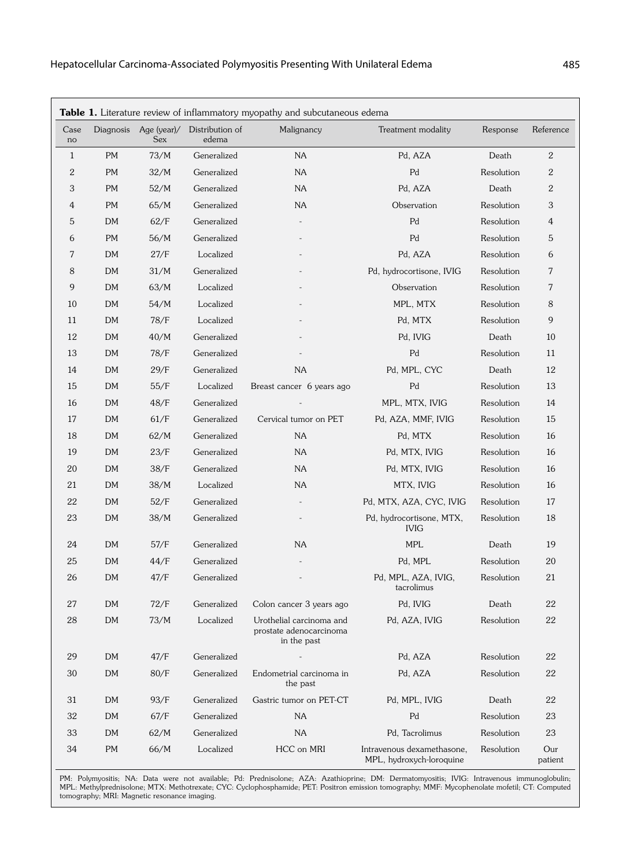| <b>Table 1.</b> Literature review of inflammatory myopathy and subcutaneous edema |           |                           |                          |                                                                    |                                                        |            |                |
|-----------------------------------------------------------------------------------|-----------|---------------------------|--------------------------|--------------------------------------------------------------------|--------------------------------------------------------|------------|----------------|
| Case<br>no                                                                        | Diagnosis | Age (year)/<br><b>Sex</b> | Distribution of<br>edema | Malignancy                                                         | Treatment modality                                     | Response   | Reference      |
| $\mathbf{1}$                                                                      | PM        | 73/M                      | Generalized              | NA                                                                 | Pd, AZA                                                | Death      | $\sqrt{2}$     |
| 2                                                                                 | PM        | 32/M                      | Generalized              | NA                                                                 | Pd                                                     | Resolution | 2              |
| 3                                                                                 | PM        | 52/M                      | Generalized              | NA                                                                 | Pd, AZA                                                | Death      | 2              |
| 4                                                                                 | PM        | 65/M                      | Generalized              | NA                                                                 | Observation                                            | Resolution | 3              |
| 5                                                                                 | DM        | 62/F                      | Generalized              |                                                                    | Pd                                                     | Resolution | 4              |
| 6                                                                                 | PM        | 56/M                      | Generalized              |                                                                    | P <sub>d</sub>                                         | Resolution | 5              |
| 7                                                                                 | DM        | 27/F                      | Localized                |                                                                    | Pd, AZA                                                | Resolution | 6              |
| 8                                                                                 | DM        | 31/M                      | Generalized              |                                                                    | Pd, hydrocortisone, IVIG                               | Resolution | 7              |
| 9                                                                                 | DM        | 63/M                      | Localized                |                                                                    | Observation                                            | Resolution | 7              |
| 10                                                                                | DM        | 54/M                      | Localized                |                                                                    | MPL, MTX                                               | Resolution | 8              |
| 11                                                                                | <b>DM</b> | 78/F                      | Localized                |                                                                    | Pd, MTX                                                | Resolution | 9              |
| 12                                                                                | DM        | 40/M                      | Generalized              |                                                                    | Pd, IVIG                                               | Death      | 10             |
| 13                                                                                | DM        | 78/F                      | Generalized              |                                                                    | Pd                                                     | Resolution | 11             |
| 14                                                                                | DM        | 29/F                      | Generalized              | NA.                                                                | Pd, MPL, CYC                                           | Death      | 12             |
| 15                                                                                | DM        | 55/F                      | Localized                | Breast cancer 6 years ago                                          | Pd                                                     | Resolution | 13             |
| 16                                                                                | DM        | 48/F                      | Generalized              |                                                                    | MPL, MTX, IVIG                                         | Resolution | 14             |
| 17                                                                                | DM        | 61/F                      | Generalized              | Cervical tumor on PET                                              | Pd, AZA, MMF, IVIG                                     | Resolution | 15             |
| 18                                                                                | DM        | 62/M                      | Generalized              | NA                                                                 | Pd, MTX                                                | Resolution | 16             |
| 19                                                                                | DM        | 23/F                      | Generalized              | NA.                                                                | Pd, MTX, IVIG                                          | Resolution | 16             |
| 20                                                                                | DM        | 38/F                      | Generalized              | NA                                                                 | Pd, MTX, IVIG                                          | Resolution | 16             |
| 21                                                                                | DM        | 38/M                      | Localized                | NA                                                                 | MTX, IVIG                                              | Resolution | 16             |
| 22                                                                                | DM        | 52/F                      | Generalized              |                                                                    | Pd, MTX, AZA, CYC, IVIG                                | Resolution | 17             |
| 23                                                                                | DM        | 38/M                      | Generalized              |                                                                    | Pd, hydrocortisone, MTX,<br><b>IVIG</b>                | Resolution | 18             |
| 24                                                                                | DM        | 57/F                      | Generalized              | NA                                                                 | <b>MPL</b>                                             | Death      | 19             |
| 25                                                                                | <b>DM</b> | 44/F                      | Generalized              |                                                                    | Pd, MPL                                                | Resolution | 20             |
| 26                                                                                | DM        | 47/F                      | Generalized              |                                                                    | Pd, MPL, AZA, IVIG,<br>tacrolimus                      | Resolution | 21             |
| 27                                                                                | DM        | 72/F                      | Generalized              | Colon cancer 3 years ago                                           | Pd, IVIG                                               | Death      | 22             |
| 28                                                                                | <b>DM</b> | 73/M                      | Localized                | Urothelial carcinoma and<br>prostate adenocarcinoma<br>in the past | Pd, AZA, IVIG                                          | Resolution | 22             |
| 29                                                                                | DM        | 47/F                      | Generalized              |                                                                    | Pd, AZA                                                | Resolution | 22             |
| 30                                                                                | <b>DM</b> | 80/F                      | Generalized              | Endometrial carcinoma in<br>the past                               | Pd. AZA                                                | Resolution | 22             |
| 31                                                                                | DM        | 93/F                      | Generalized              | Gastric tumor on PET-CT                                            | Pd, MPL, IVIG                                          | Death      | 22             |
| 32                                                                                | DM        | 67/F                      | Generalized              | NA.                                                                | P <sub>d</sub>                                         | Resolution | 23             |
| 33                                                                                | DM        | 62/M                      | Generalized              | <b>NA</b>                                                          | Pd, Tacrolimus                                         | Resolution | 23             |
| 34                                                                                | PM        | 66/M                      | Localized                | HCC on MRI                                                         | Intravenous dexamethasone,<br>MPL, hydroxych-loroquine | Resolution | Our<br>patient |

PM: Polymyositis; NA: Data were not available; Pd: Prednisolone; AZA: Azathioprine; DM: Dermatomyositis; IVIG: Intravenous immunoglobulin;<br>MPL:Methylprednisolone;MTX:Methotrexate;CYC:Cyclophosphamide;PET:Positronemissionto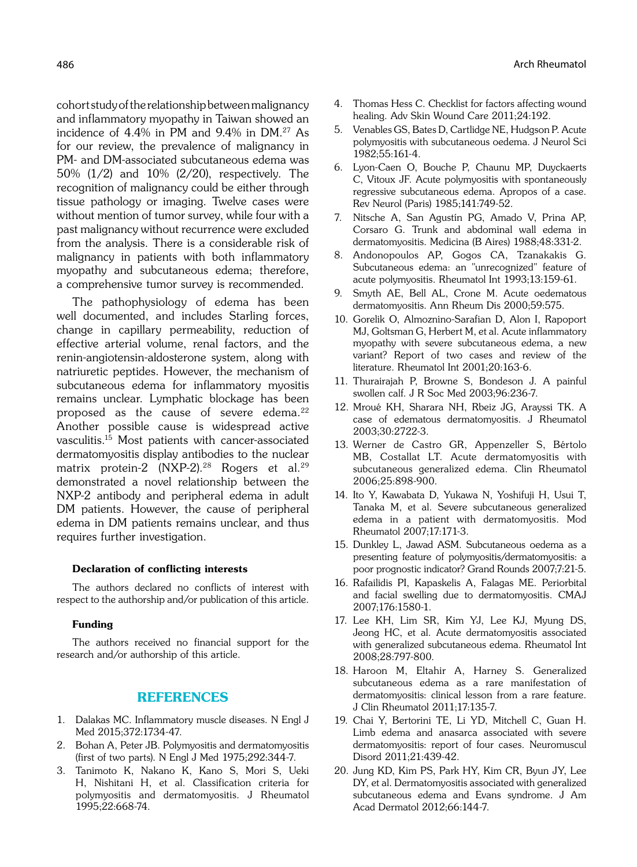cohort study of the relationship between malignancy and inflammatory myopathy in Taiwan showed an incidence of 4.4% in PM and 9.4% in DM.<sup>27</sup> As for our review, the prevalence of malignancy in PM- and DM-associated subcutaneous edema was 50% (1/2) and 10% (2/20), respectively. The recognition of malignancy could be either through tissue pathology or imaging. Twelve cases were without mention of tumor survey, while four with a past malignancy without recurrence were excluded from the analysis. There is a considerable risk of malignancy in patients with both inflammatory myopathy and subcutaneous edema; therefore, a comprehensive tumor survey is recommended.

The pathophysiology of edema has been well documented, and includes Starling forces, change in capillary permeability, reduction of effective arterial volume, renal factors, and the renin-angiotensin-aldosterone system, along with natriuretic peptides. However, the mechanism of subcutaneous edema for inflammatory myositis remains unclear. Lymphatic blockage has been proposed as the cause of severe edema.<sup>22</sup> Another possible cause is widespread active vasculitis.15 Most patients with cancer-associated dermatomyositis display antibodies to the nuclear matrix protein-2 (NXP-2).<sup>28</sup> Rogers et al.<sup>29</sup> demonstrated a novel relationship between the NXP-2 antibody and peripheral edema in adult DM patients. However, the cause of peripheral edema in DM patients remains unclear, and thus requires further investigation.

#### Declaration of conflicting interests

The authors declared no conflicts of interest with respect to the authorship and/or publication of this article.

#### Funding

The authors received no financial support for the research and/or authorship of this article.

#### REFERENCES

- 1. Dalakas MC. Inflammatory muscle diseases. N Engl J Med 2015;372:1734-47.
- 2. Bohan A, Peter JB. Polymyositis and dermatomyositis (first of two parts). N Engl J Med 1975;292:344-7.
- 3. Tanimoto K, Nakano K, Kano S, Mori S, Ueki H, Nishitani H, et al. Classification criteria for polymyositis and dermatomyositis. J Rheumatol 1995;22:668-74.
- 4. Thomas Hess C. Checklist for factors affecting wound healing. Adv Skin Wound Care 2011;24:192.
- 5. Venables GS, Bates D, Cartlidge NE, Hudgson P. Acute polymyositis with subcutaneous oedema. J Neurol Sci 1982;55:161-4.
- 6. Lyon-Caen O, Bouche P, Chaunu MP, Duyckaerts C, Vitoux JF. Acute polymyositis with spontaneously regressive subcutaneous edema. Apropos of a case. Rev Neurol (Paris) 1985;141:749-52.
- 7. Nitsche A, San Agustín PG, Amado V, Prina AP, Corsaro G. Trunk and abdominal wall edema in dermatomyositis. Medicina (B Aires) 1988;48:331-2.
- 8. Andonopoulos AP, Gogos CA, Tzanakakis G. Subcutaneous edema: an "unrecognized" feature of acute polymyositis. Rheumatol Int 1993;13:159-61.
- 9. Smyth AE, Bell AL, Crone M. Acute oedematous dermatomyositis. Ann Rheum Dis 2000;59:575.
- 10. Gorelik O, Almoznino-Sarafian D, Alon I, Rapoport MJ, Goltsman G, Herbert M, et al. Acute inflammatory myopathy with severe subcutaneous edema, a new variant? Report of two cases and review of the literature. Rheumatol Int 2001;20:163-6.
- 11. Thurairajah P, Browne S, Bondeson J. A painful swollen calf. J R Soc Med 2003;96:236-7.
- 12. Mroué KH, Sharara NH, Rbeiz JG, Arayssi TK. A case of edematous dermatomyositis. J Rheumatol 2003;30:2722-3.
- 13. Werner de Castro GR, Appenzeller S, Bértolo MB, Costallat LT. Acute dermatomyositis with subcutaneous generalized edema. Clin Rheumatol 2006;25:898-900.
- 14. Ito Y, Kawabata D, Yukawa N, Yoshifuji H, Usui T, Tanaka M, et al. Severe subcutaneous generalized edema in a patient with dermatomyositis. Mod Rheumatol 2007;17:171-3.
- 15. Dunkley L, Jawad ASM. Subcutaneous oedema as a presenting feature of polymyositis/dermatomyositis: a poor prognostic indicator? Grand Rounds 2007;7:21-5.
- 16. Rafailidis PI, Kapaskelis A, Falagas ME. Periorbital and facial swelling due to dermatomyositis. CMAJ 2007;176:1580-1.
- 17. Lee KH, Lim SR, Kim YJ, Lee KJ, Myung DS, Jeong HC, et al. Acute dermatomyositis associated with generalized subcutaneous edema. Rheumatol Int 2008;28:797-800.
- 18. Haroon M, Eltahir A, Harney S. Generalized subcutaneous edema as a rare manifestation of dermatomyositis: clinical lesson from a rare feature. J Clin Rheumatol 2011;17:135-7.
- 19. Chai Y, Bertorini TE, Li YD, Mitchell C, Guan H. Limb edema and anasarca associated with severe dermatomyositis: report of four cases. Neuromuscul Disord 2011;21:439-42.
- 20. Jung KD, Kim PS, Park HY, Kim CR, Byun JY, Lee DY, et al. Dermatomyositis associated with generalized subcutaneous edema and Evans syndrome. J Am Acad Dermatol 2012;66:144-7.